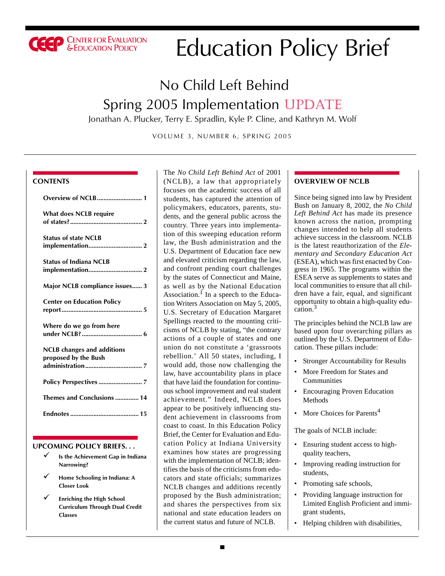

# Education Policy Brief

## No Child Left Behind Spring 2005 Implementation UPDATE

Jonathan A. Plucker, Terry E. Spradlin, Kyle P. Cline, and Kathryn M. Wolf

VOLUME 3, NUMBER 6, SPRING 2005

#### **CONTENTS**

| <b>What does NCLB require</b>                             |
|-----------------------------------------------------------|
| <b>Status of state NCLB</b>                               |
| <b>Status of Indiana NCLB</b>                             |
| Major NCLB compliance issues 3                            |
| <b>Center on Education Policy</b>                         |
| Where do we go from here                                  |
| <b>NCLB</b> changes and additions<br>proposed by the Bush |
|                                                           |
| Themes and Conclusions  14                                |
|                                                           |

#### **UPCOMING POLICY BRIEFS. . .**

- 9 **Is the Achievement Gap in Indiana Narrowing?**
- 9 **Home Schooling in Indiana: A Closer Look**
- 9 **Enriching the High School Curriculum Through Dual Credit Classes**

The *No Child Left Behind Act* of 2001 (NCLB), a law that appropriately focuses on the academic success of all students, has captured the attention of policymakers, educators, parents, students, and the general public across the country. Three years into implementation of this sweeping education reform law, the Bush administration and the U.S. Department of Education face new and elevated criticism regarding the law, and confront pending court challenges by the states of Connecticut and Maine, as well as by the National Education Association.<sup>1</sup> In a speech to the Education Writers Association on May 5, 2005, U.S. Secretary of Education Margaret Spellings reacted to the mounting criticisms of NCLB by stating, "the contrary actions of a couple of states and one union do not constitute a 'grassroots rebellion.' All 50 states, including, I would add, those now challenging the law, have accountability plans in place that have laid the foundation for continuous school improvement and real student achievement." Indeed, NCLB does appear to be positively influencing student achievement in classrooms from coast to coast. In this Education Policy Brief, the Center for Evaluation and Education Policy at Indiana University examines how states are progressing with the implementation of NCLB; identifies the basis of the criticisms from educators and state officials; summarizes NCLB changes and additions recently proposed by the Bush administration; and shares the perspectives from six national and state education leaders on the current status and future of NCLB.

#### **OVERVIEW OF NCLB**

Since being signed into law by President Bush on January 8, 2002, the *No Child Left Behind Act* has made its presence known across the nation, prompting changes intended to help all students achieve success in the classroom. NCLB is the latest reauthorization of the *Elementary and Secondary Education Act* (ESEA), which was first enacted by Congress in 1965. The programs within the ESEA serve as supplements to states and local communities to ensure that all children have a fair, equal, and significant opportunity to obtain a high-quality education.<sup>3</sup>

The principles behind the NCLB law are based upon four overarching pillars as outlined by the U.S. Department of Education. These pillars include:

- Stronger Accountability for Results
- More Freedom for States and Communities
- Encouraging Proven Education Methods
- More Choices for Parents<sup>4</sup>

The goals of NCLB include:

- Ensuring student access to highquality teachers,
- Improving reading instruction for students,
- Promoting safe schools,
- Providing language instruction for Limited English Proficient and immigrant students,
- Helping children with disabilities,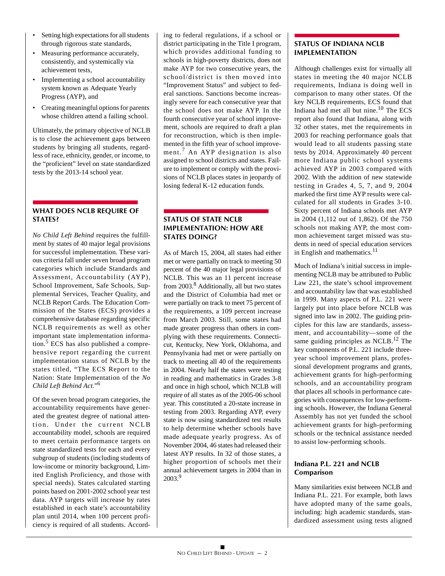- Setting high expectations for all students through rigorous state standards,
- Measuring performance accurately, consistently, and systemically via achievement tests,
- Implementing a school accountability system known as Adequate Yearly Progress (AYP), and
- Creating meaningful options for parents whose children attend a failing school.

Ultimately, the primary objective of NCLB is to close the achievement gaps between students by bringing all students, regardless of race, ethnicity, gender, or income, to the "proficient" level on state standardized tests by the 2013-14 school year.

### **WHAT DOES NCLB REQUIRE OF STATES?**

*No Child Left Behind* requires the fulfillment by states of 40 major legal provisions for successful implementation. These various criteria fall under seven broad program categories which include Standards and Assessment, Accountability (AYP), School Improvement, Safe Schools, Supplemental Services, Teacher Quality, and NCLB Report Cards. The Education Commission of the States (ECS) provides a comprehensive database regarding specific NCLB requirements as well as other important state implementation informa- $\frac{5}{2}$  ECS has also published a comprehensive report regarding the current implementation status of NCLB by the states titled, "The ECS Report to the Nation: State Implementation of the *No Child Left Behind Act*."<sup>6</sup>

Of the seven broad program categories, the accountability requirements have generated the greatest degree of national attention. Under the current NCLB accountability model, schools are required to meet certain performance targets on state standardized tests for each and every subgroup of students (including students of low-income or minority background, Limited English Proficiency, and those with special needs). States calculated starting points based on 2001-2002 school year test data. AYP targets will increase by rates established in each state's accountability plan until 2014, when 100 percent proficiency is required of all students. According to federal regulations, if a school or district participating in the Title I program, which provides additional funding to schools in high-poverty districts, does not make AYP for two consecutive years, the school/district is then moved into "Improvement Status" and subject to federal sanctions. Sanctions become increasingly severe for each consecutive year that the school does not make AYP. In the fourth consecutive year of school improvement, schools are required to draft a plan for reconstruction, which is then implemented in the fifth year of school improvement.7 An AYP designation is also assigned to school districts and states. Failure to implement or comply with the provisions of NCLB places states in jeopardy of losing federal K-12 education funds.

## **STATUS OF STATE NCLB IMPLEMENTATION: HOW ARE STATES DOING?**

As of March 15, 2004, all states had either met or were partially on track to meeting 50 percent of the 40 major legal provisions of NCLB. This was an 11 percent increase from 2003.8 Additionally, all but two states and the District of Columbia had met or were partially on track to meet 75 percent of the requirements, a 109 percent increase from March 2003. Still, some states had made greater progress than others in complying with these requirements. Connecticut, Kentucky, New York, Oklahoma, and Pennsylvania had met or were partially on track to meeting all 40 of the requirements in 2004. Nearly half the states were testing in reading and mathematics in Grades 3-8 and once in high school, which NCLB will require of all states as of the 2005-06 school year. This constituted a 20-state increase in testing from 2003. Regarding AYP, every state is now using standardized test results to help determine whether schools have made adequate yearly progress. As of November 2004, 46 states had released their latest AYP results. In 32 of those states, a higher proportion of schools met their annual achievement targets in 2004 than in 2003.9

## **STATUS OF INDIANA NCLB IMPLEMENTATION**

Although challenges exist for virtually all states in meeting the 40 major NCLB requirements, Indiana is doing well in comparison to many other states. Of the key NCLB requirements, ECS found that Indiana had met all but nine.10 The ECS report also found that Indiana, along with 32 other states, met the requirements in 2003 for reaching performance goals that would lead to all students passing state tests by 2014. Approximately 40 percent more Indiana public school systems achieved AYP in 2003 compared with 2002. With the addition of new statewide testing in Grades 4, 5, 7, and 9, 2004 marked the first time AYP results were calculated for all students in Grades 3-10. Sixty percent of Indiana schools met AYP in 2004 (1,112 out of 1,862). Of the 750 schools not making AYP, the most common achievement target missed was students in need of special education services in English and mathematics.<sup>11</sup>

Much of Indiana's initial success in implementing NCLB may be attributed to Public Law 221, the state's school improvement and accountability law that was established in 1999. Many aspects of P.L. 221 were largely put into place before NCLB was signed into law in 2002. The guiding principles for this law are standards, assessment, and accountability—some of the same guiding principles as NCLB.12 The key components of P.L. 221 include threeyear school improvement plans, professional development programs and grants, achievement grants for high-performing schools, and an accountability program that places all schools in performance categories with consequences for low-performing schools. However, the Indiana General Assembly has not yet funded the school achievement grants for high-performing schools or the technical assistance needed to assist low-performing schools.

## **Indiana P.L. 221 and NCLB Comparison**

Many similarities exist between NCLB and Indiana P.L. 221. For example, both laws have adopted many of the same goals, including: high academic standards, standardized assessment using tests aligned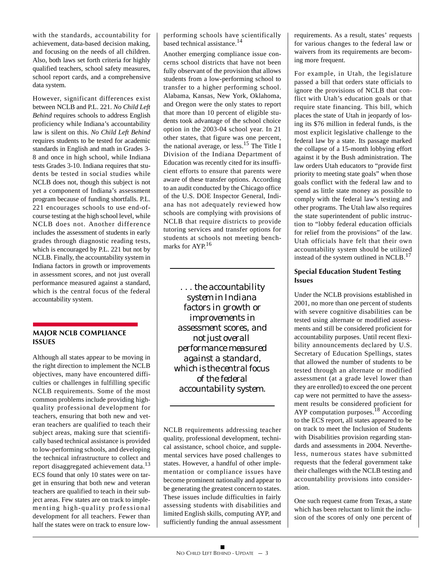with the standards, accountability for achievement, data-based decision making, and focusing on the needs of all children. Also, both laws set forth criteria for highly qualified teachers, school safety measures, school report cards, and a comprehensive data system.

However, significant differences exist between NCLB and P.L. 221. *No Child Left Behind* requires schools to address English proficiency while Indiana's accountability law is silent on this. *No Child Left Behind* requires students to be tested for academic standards in English and math in Grades 3- 8 and once in high school, while Indiana tests Grades 3-10. Indiana requires that students be tested in social studies while NCLB does not, though this subject is not yet a component of Indiana's assessment program because of funding shortfalls. P.L. 221 encourages schools to use end-ofcourse testing at the high school level, while NCLB does not. Another difference includes the assessment of students in early grades through diagnostic reading tests, which is encouraged by P.L. 221 but not by NCLB. Finally, the accountability system in Indiana factors in growth or improvements in assessment scores, and not just overall performance measured against a standard, which is the central focus of the federal accountability system.

## **MAJOR NCLB COMPLIANCE ISSUES**

Although all states appear to be moving in the right direction to implement the NCLB objectives, many have encountered difficulties or challenges in fulfilling specific NCLB requirements. Some of the most common problems include providing highquality professional development for teachers, ensuring that both new and veteran teachers are qualified to teach their subject areas, making sure that scientifically based technical assistance is provided to low-performing schools, and developing the technical infrastructure to collect and report disaggregated achievement data.<sup>13</sup> ECS found that only 10 states were on target in ensuring that both new and veteran teachers are qualified to teach in their subject areas. Few states are on track to implementing high-quality professional development for all teachers. Fewer than half the states were on track to ensure lowperforming schools have scientifically based technical assistance.<sup>14</sup>

Another emerging compliance issue concerns school districts that have not been fully observant of the provision that allows students from a low-performing school to transfer to a higher performing school. Alabama, Kansas, New York, Oklahoma, and Oregon were the only states to report that more than 10 percent of eligible students took advantage of the school choice option in the 2003-04 school year. In 21 other states, that figure was one percent, the national average, or less.<sup>15</sup> The Title I Division of the Indiana Department of Education was recently cited for its insufficient efforts to ensure that parents were aware of these transfer options. According to an audit conducted by the Chicago office of the U.S. DOE Inspector General, Indiana has not adequately reviewed how schools are complying with provisions of NCLB that require districts to provide tutoring services and transfer options for students at schools not meeting benchmarks for AYP.<sup>16</sup>

*. . . the accountability system in Indiana factors in growth or improvements in assessment scores, and not just overall performance measured against a standard, which is the central focus of the federal accountability system.*

NCLB requirements addressing teacher quality, professional development, technical assistance, school choice, and supplemental services have posed challenges to states. However, a handful of other implementation or compliance issues have become prominent nationally and appear to be generating the greatest concern to states. These issues include difficulties in fairly assessing students with disabilities and limited English skills, computing AYP, and sufficiently funding the annual assessment requirements. As a result, states' requests for various changes to the federal law or waivers from its requirements are becoming more frequent.

For example, in Utah, the legislature passed a bill that orders state officials to ignore the provisions of NCLB that conflict with Utah's education goals or that require state financing. This bill, which places the state of Utah in jeopardy of losing its \$76 million in federal funds, is the most explicit legislative challenge to the federal law by a state. Its passage marked the collapse of a 15-month lobbying effort against it by the Bush administration. The law orders Utah educators to "provide first priority to meeting state goals" when those goals conflict with the federal law and to spend as little state money as possible to comply with the federal law's testing and other programs. The Utah law also requires the state superintendent of public instruction to "lobby federal education officials for relief from the provisions" of the law. Utah officials have felt that their own accountability system should be utilized instead of the system outlined in NCLB.<sup>17</sup>

### **Special Education Student Testing Issues**

Under the NCLB provisions established in 2001, no more than one percent of students with severe cognitive disabilities can be tested using alternate or modified assessments and still be considered proficient for accountability purposes. Until recent flexibility announcements declared by U.S. Secretary of Education Spellings, states that allowed the number of students to be tested through an alternate or modified assessment (at a grade level lower than they are enrolled) to exceed the one percent cap were not permitted to have the assessment results be considered proficient for AYP computation purposes.<sup>18</sup> According to the ECS report, all states appeared to be on track to meet the Inclusion of Students with Disabilities provision regarding standards and assessments in 2004. Nevertheless, numerous states have submitted requests that the federal government take their challenges with the NCLB testing and accountability provisions into consideration.

One such request came from Texas, a state which has been reluctant to limit the inclusion of the scores of only one percent of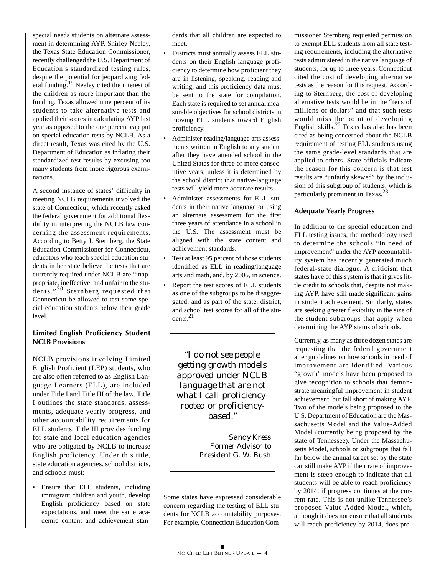special needs students on alternate assessment in determining AYP. Shirley Neeley, the Texas State Education Commissioner, recently challenged the U.S. Department of Education's standardized testing rules, despite the potential for jeopardizing federal funding.<sup>19</sup> Neeley cited the interest of the children as more important than the funding. Texas allowed nine percent of its students to take alternative tests and applied their scores in calculating AYP last year as opposed to the one percent cap put on special education tests by NCLB. As a direct result, Texas was cited by the U.S. Department of Education as inflating their standardized test results by excusing too many students from more rigorous examinations.

A second instance of states' difficulty in meeting NCLB requirements involved the state of Connecticut, which recently asked the federal government for additional flexibility in interpreting the NCLB law concerning the assessment requirements. According to Betty J. Sternberg, the State Education Commissioner for Connecticut, educators who teach special education students in her state believe the tests that are currently required under NCLB are "inappropriate, ineffective, and unfair to the students."<sup>20</sup> Sternberg requested that Connecticut be allowed to test some special education students below their grade level.

### **Limited English Proficiency Student NCLB Provisions**

NCLB provisions involving Limited English Proficient (LEP) students, who are also often referred to as English Language Learners (ELL), are included under Title I and Title III of the law. Title I outlines the state standards, assessments, adequate yearly progress, and other accountability requirements for ELL students. Title III provides funding for state and local education agencies who are obligated by NCLB to increase English proficiency. Under this title, state education agencies, school districts, and schools must:

Ensure that ELL students, including immigrant children and youth, develop English proficiency based on state expectations, and meet the same academic content and achievement standards that all children are expected to meet.

- Districts must annually assess ELL students on their English language proficiency to determine how proficient they are in listening, speaking, reading and writing, and this proficiency data must be sent to the state for compilation. Each state is required to set annual measurable objectives for school districts in moving ELL students toward English proficiency.
- Administer reading/language arts assessments written in English to any student after they have attended school in the United States for three or more consecutive years, unless it is determined by the school district that native-language tests will yield more accurate results.
- Administer assessments for ELL students in their native language or using an alternate assessment for the first three years of attendance in a school in the U.S. The assessment must be aligned with the state content and achievement standards.
- Test at least 95 percent of those students identified as ELL in reading/language arts and math, and, by 2006, in science.
- Report the test scores of ELL students as one of the subgroups to be disaggregated, and as part of the state, district, and school test scores for all of the students.21

*"I do not see people getting growth models approved under NCLB language that are not what I call proficiencyrooted or proficiencybased."*

> *Sandy Kress Former Advisor to President G. W. Bush*

Some states have expressed considerable concern regarding the testing of ELL students for NCLB accountability purposes. For example, Connecticut Education Commissioner Sternberg requested permission to exempt ELL students from all state testing requirements, including the alternative tests administered in the native language of students, for up to three years. Connecticut cited the cost of developing alternative tests as the reason for this request. According to Sternberg, the cost of developing alternative tests would be in the "tens of millions of dollars" and that such tests would miss the point of developing English skills.<sup>22</sup> Texas has also has been cited as being concerned about the NCLB requirement of testing ELL students using the same grade-level standards that are applied to others. State officials indicate the reason for this concern is that test results are "unfairly skewed" by the inclusion of this subgroup of students, which is particularly prominent in Texas.<sup>23</sup>

### **Adequate Yearly Progress**

In addition to the special education and ELL testing issues, the methodology used to determine the schools "in need of improvement" under the AYP accountability system has recently generated much federal-state dialogue. A criticism that states have of this system is that it gives little credit to schools that, despite not making AYP, have still made significant gains in student achievement. Similarly, states are seeking greater flexibility in the size of the student subgroups that apply when determining the AYP status of schools.

Currently, as many as three dozen states are requesting that the federal government alter guidelines on how schools in need of improvement are identified. Various "growth" models have been proposed to give recognition to schools that demonstrate meaningful improvement in student achievement, but fall short of making AYP. Two of the models being proposed to the U.S. Department of Education are the Massachusetts Model and the Value-Added Model (currently being proposed by the state of Tennessee). Under the Massachusetts Model, schools or subgroups that fall far below the annual target set by the state can still make AYP if their rate of improvement is steep enough to indicate that all students will be able to reach proficiency by 2014, if progress continues at the current rate. This is not unlike Tennessee's proposed Value-Added Model, which, although it does not ensure that all students will reach proficiency by 2014, does pro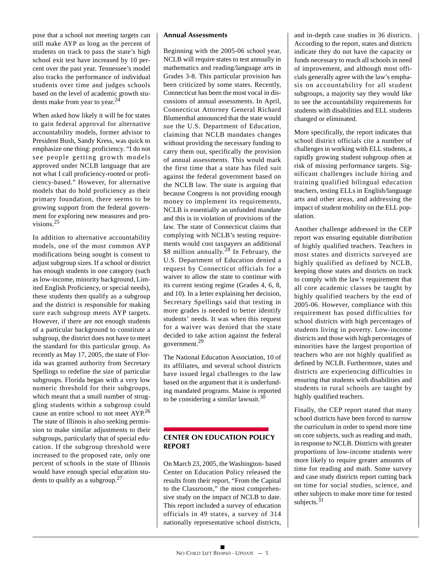pose that a school not meeting targets can still make AYP as long as the percent of students on track to pass the state's high school exit test have increased by 10 percent over the past year. Tennessee's model also tracks the performance of individual students over time and judges schools based on the level of academic growth students make from year to year. $^{24}$ 

When asked how likely it will be for states to gain federal approval for alternative accountability models, former advisor to President Bush, Sandy Kress, was quick to emphasize one thing: proficiency. "I do not see people getting growth models approved under NCLB language that are not what I call proficiency-rooted or proficiency-based." However, for alternative models that do hold proficiency as their primary foundation, there seems to be growing support from the federal government for exploring new measures and provisions.<sup>25</sup>

In addition to alternative accountability models, one of the most common AYP modifications being sought is consent to adjust subgroup sizes. If a school or district has enough students in one category (such as low-income, minority background, Limited English Proficiency, or special needs), these students then qualify as a subgroup and the district is responsible for making sure each subgroup meets AYP targets. However, if there are not enough students of a particular background to constitute a subgroup, the district does not have to meet the standard for this particular group. As recently as May 17, 2005, the state of Florida was granted authority from Secretary Spellings to redefine the size of particular subgroups. Florida began with a very low numeric threshold for their subgroups, which meant that a small number of struggling students within a subgroup could cause an entire school to not meet AYP.<sup>26</sup> The state of Illinois is also seeking permission to make similar adjustments to their subgroups, particularly that of special education. If the subgroup threshold were increased to the proposed rate, only one percent of schools in the state of Illinois would have enough special education students to qualify as a subgroup.27

#### **Annual Assessments**

Beginning with the 2005-06 school year, NCLB will require states to test annually in mathematics and reading/language arts in Grades 3-8. This particular provision has been criticized by some states. Recently, Connecticut has been the most vocal in discussions of annual assessments. In April, Connecticut Attorney General Richard Blumenthal announced that the state would sue the U.S. Department of Education, claiming that NCLB mandates changes without providing the necessary funding to carry them out, specifically the provision of annual assessments. This would mark the first time that a state has filed suit against the federal government based on the NCLB law. The state is arguing that because Congress is not providing enough money to implement its requirements. NCLB is essentially an unfunded mandate and this is in violation of provisions of the law. The state of Connecticut claims that complying with NCLB's testing requirements would cost taxpayers an additional \$8 million annually.<sup>28</sup> In February, the U.S. Department of Education denied a request by Connecticut officials for a waiver to allow the state to continue with its current testing regime (Grades 4, 6, 8, and 10). In a letter explaining her decision, Secretary Spellings said that testing in more grades is needed to better identify students' needs. It was when this request for a waiver was denied that the state decided to take action against the federal government.29

The National Education Association, 10 of its affiliates, and several school districts have issued legal challenges to the law based on the argument that it is underfunding mandated programs. Maine is reported to be considering a similar lawsuit. $30$ 

## **CENTER ON EDUCATION POLICY REPORT**

On March 23, 2005, the Washington- based Center on Education Policy released the results from their report, "From the Capital to the Classroom," the most comprehensive study on the impact of NCLB to date. This report included a survey of education officials in 49 states, a survey of 314 nationally representative school districts,

and in-depth case studies in 36 districts. According to the report, states and districts indicate they do not have the capacity or funds necessary to reach all schools in need of improvement, and although most officials generally agree with the law's emphasis on accountability for all student subgroups, a majority say they would like to see the accountability requirements for students with disabilities and ELL students changed or eliminated.

More specifically, the report indicates that school district officials cite a number of challenges in working with ELL students, a rapidly growing student subgroup often at risk of missing performance targets. Significant challenges include hiring and training qualified bilingual education teachers, testing ELLs in English/language arts and other areas, and addressing the impact of student mobility on the ELL population.

Another challenge addressed in the CEP report was ensuring equitable distribution of highly qualified teachers. Teachers in most states and districts surveyed are highly qualified as defined by NCLB, keeping those states and districts on track to comply with the law's requirement that all core academic classes be taught by highly qualified teachers by the end of 2005-06. However, compliance with this requirement has posed difficulties for school districts with high percentages of students living in poverty. Low-income districts and those with high percentages of minorities have the largest proportion of teachers who are not highly qualified as defined by NCLB. Furthermore, states and districts are experiencing difficulties in ensuring that students with disabilities and students in rural schools are taught by highly qualified teachers.

Finally, the CEP report stated that many school districts have been forced to narrow the curriculum in order to spend more time on core subjects, such as reading and math, in response to NCLB. Districts with greater proportions of low-income students were more likely to require greater amounts of time for reading and math. Some survey and case study districts report cutting back on time for social studies, science, and other subjects to make more time for tested subjects. $31$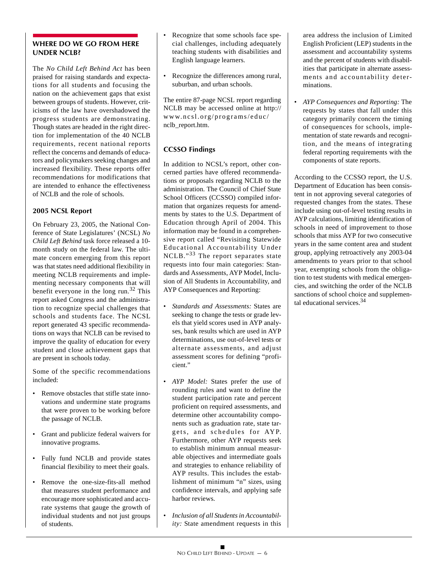## **WHERE DO WE GO FROM HERE UNDER NCLB?**

The *No Child Left Behind Act* has been praised for raising standards and expectations for all students and focusing the nation on the achievement gaps that exist between groups of students. However, criticisms of the law have overshadowed the progress students are demonstrating. Though states are headed in the right direction for implementation of the 40 NCLB requirements, recent national reports reflect the concerns and demands of educators and policymakers seeking changes and increased flexibility. These reports offer recommendations for modifications that are intended to enhance the effectiveness of NCLB and the role of schools.

### **2005 NCSL Report**

On February 23, 2005, the National Conference of State Legislatures' (NCSL) *No Child Left Behind* task force released a 10 month study on the federal law. The ultimate concern emerging from this report was that states need additional flexibility in meeting NCLB requirements and implementing necessary components that will benefit everyone in the long run.32 This report asked Congress and the administration to recognize special challenges that schools and students face. The NCSL report generated 43 specific recommendations on ways that NCLB can be revised to improve the quality of education for every student and close achievement gaps that are present in schools today.

Some of the specific recommendations included:

- Remove obstacles that stifle state innovations and undermine state programs that were proven to be working before the passage of NCLB.
- Grant and publicize federal waivers for innovative programs.
- Fully fund NCLB and provide states financial flexibility to meet their goals.
- Remove the one-size-fits-all method that measures student performance and encourage more sophisticated and accurate systems that gauge the growth of individual students and not just groups of students.
- Recognize that some schools face special challenges, including adequately teaching students with disabilities and English language learners.
- Recognize the differences among rural, suburban, and urban schools.

The entire 87-page NCSL report regarding NCLB may be accessed online at http:// www.ncsl.org/programs/educ/ nclb\_report.htm.

## **CCSSO Findings**

In addition to NCSL's report, other concerned parties have offered recommendations or proposals regarding NCLB to the administration. The Council of Chief State School Officers (CCSSO) compiled information that organizes requests for amendments by states to the U.S. Department of Education through April of 2004. This information may be found in a comprehensive report called "Revisiting Statewide Educational Accountability Under NCLB."33 The report separates state requests into four main categories: Standards and Assessments, AYP Model, Inclusion of All Students in Accountability, and AYP Consequences and Reporting:

- *Standards and Assessments:* States are seeking to change the tests or grade levels that yield scores used in AYP analyses, bank results which are used in AYP determinations, use out-of-level tests or alternate assessments, and adjust assessment scores for defining "proficient."
- *AYP Model:* States prefer the use of rounding rules and want to define the student participation rate and percent proficient on required assessments, and determine other accountability components such as graduation rate, state targets, and schedules for AYP. Furthermore, other AYP requests seek to establish minimum annual measurable objectives and intermediate goals and strategies to enhance reliability of AYP results. This includes the establishment of minimum "n" sizes, using confidence intervals, and applying safe harbor reviews.
- *Inclusion of all Students in Accountability:* State amendment requests in this

area address the inclusion of Limited English Proficient (LEP) students in the assessment and accountability systems and the percent of students with disabilities that participate in alternate assessments and accountability determinations.

• *AYP Consequences and Reporting:* The requests by states that fall under this category primarily concern the timing of consequences for schools, implementation of state rewards and recognition, and the means of integrating federal reporting requirements with the components of state reports.

According to the CCSSO report, the U.S. Department of Education has been consistent in not approving several categories of requested changes from the states. These include using out-of-level testing results in AYP calculations, limiting identification of schools in need of improvement to those schools that miss AYP for two consecutive years in the same content area and student group, applying retroactively any 2003-04 amendments to years prior to that school year, exempting schools from the obligation to test students with medical emergencies, and switching the order of the NCLB sanctions of school choice and supplemental educational services.34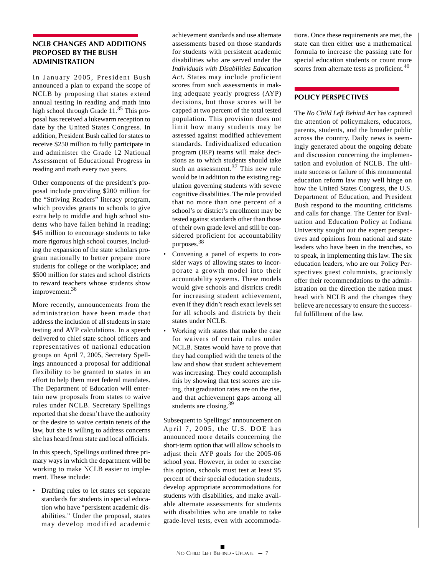#### **NCLB CHANGES AND ADDITIONS PROPOSED BY THE BUSH ADMINISTRATION**

In January 2005, President Bush announced a plan to expand the scope of NCLB by proposing that states extend annual testing in reading and math into high school through Grade 11.<sup>35</sup> This proposal has received a lukewarm reception to date by the United States Congress. In addition, President Bush called for states to receive \$250 million to fully participate in and administer the Grade 12 National Assessment of Educational Progress in reading and math every two years.

Other components of the president's proposal include providing \$200 million for the "Striving Readers" literacy program, which provides grants to schools to give extra help to middle and high school students who have fallen behind in reading; \$45 million to encourage students to take more rigorous high school courses, including the expansion of the state scholars program nationally to better prepare more students for college or the workplace; and \$500 million for states and school districts to reward teachers whose students show improvement.<sup>36</sup>

More recently, announcements from the administration have been made that address the inclusion of all students in state testing and AYP calculations. In a speech delivered to chief state school officers and representatives of national education groups on April 7, 2005, Secretary Spellings announced a proposal for additional flexibility to be granted to states in an effort to help them meet federal mandates. The Department of Education will entertain new proposals from states to waive rules under NCLB. Secretary Spellings reported that she doesn't have the authority or the desire to waive certain tenets of the law, but she is willing to address concerns she has heard from state and local officials.

In this speech, Spellings outlined three primary ways in which the department will be working to make NCLB easier to implement. These include:

• Drafting rules to let states set separate standards for students in special education who have "persistent academic disabilities." Under the proposal, states may develop modified academic achievement standards and use alternate assessments based on those standards for students with persistent academic disabilities who are served under the *Individuals with Disabilities Education Act.* States may include proficient scores from such assessments in making adequate yearly progress (AYP) decisions, but those scores will be capped at two percent of the total tested population. This provision does not limit how many students may be assessed against modified achievement standards. Individualized education program (IEP) teams will make decisions as to which students should take such an assessment. $37$  This new rule would be in addition to the existing regulation governing students with severe cognitive disabilities. The rule provided that no more than one percent of a school's or district's enrollment may be tested against standards other than those of their own grade level and still be considered proficient for accountability purposes.38

- Convening a panel of experts to consider ways of allowing states to incorporate a growth model into their accountability systems. These models would give schools and districts credit for increasing student achievement, even if they didn't reach exact levels set for all schools and districts by their states under NCLB.
- Working with states that make the case for waivers of certain rules under NCLB. States would have to prove that they had complied with the tenets of the law and show that student achievement was increasing. They could accomplish this by showing that test scores are rising, that graduation rates are on the rise, and that achievement gaps among all students are closing.<sup>39</sup>

Subsequent to Spellings' announcement on April 7, 2005, the U.S. DOE has announced more details concerning the short-term option that will allow schools to adjust their AYP goals for the 2005-06 school year. However, in order to exercise this option, schools must test at least 95 percent of their special education students, develop appropriate accommodations for students with disabilities, and make available alternate assessments for students with disabilities who are unable to take grade-level tests, even with accommodations. Once these requirements are met, the state can then either use a mathematical formula to increase the passing rate for special education students or count more scores from alternate tests as proficient.<sup>40</sup>

## **POLICY PERSPECTIVES**

The *No Child Left Behind Act* has captured the attention of policymakers, educators, parents, students, and the broader public across the country. Daily news is seemingly generated about the ongoing debate and discussion concerning the implementation and evolution of NCLB. The ultimate success or failure of this monumental education reform law may well hinge on how the United States Congress, the U.S. Department of Education, and President Bush respond to the mounting criticisms and calls for change. The Center for Evaluation and Education Policy at Indiana University sought out the expert perspectives and opinions from national and state leaders who have been in the trenches, so to speak, in implementing this law. The six education leaders, who are our Policy Perspectives guest columnists, graciously offer their recommendations to the administration on the direction the nation must head with NCLB and the changes they believe are necessary to ensure the successful fulfillment of the law.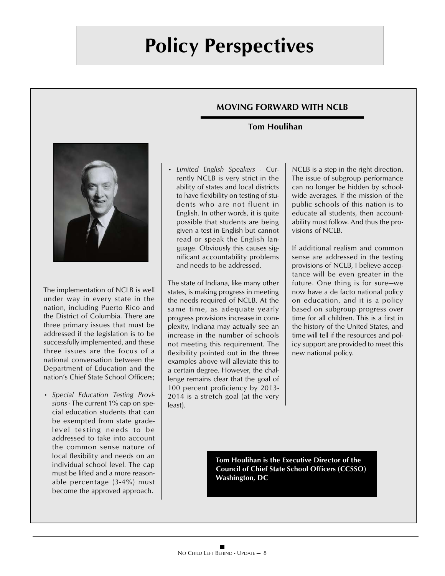## **MOVING FORWARD WITH NCLB**

## **Tom Houlihan**



The implementation of NCLB is well under way in every state in the nation, including Puerto Rico and the District of Columbia. There are three primary issues that must be addressed if the legislation is to be successfully implemented, and these three issues are the focus of a national conversation between the Department of Education and the nation's Chief State School Officers;

• *Special Education Testing Provisions* - The current 1% cap on special education students that can be exempted from state gradelevel testing needs to be addressed to take into account the common sense nature of local flexibility and needs on an individual school level. The cap must be lifted and a more reasonable percentage (3-4%) must become the approved approach.

• *Limited English Speakers* - Currently NCLB is very strict in the ability of states and local districts to have flexibility on testing of students who are not fluent in English. In other words, it is quite possible that students are being given a test in English but cannot read or speak the English language. Obviously this causes significant accountability problems and needs to be addressed.

The state of Indiana, like many other states, is making progress in meeting the needs required of NCLB. At the same time, as adequate yearly progress provisions increase in complexity, Indiana may actually see an increase in the number of schools not meeting this requirement. The flexibility pointed out in the three examples above will alleviate this to a certain degree. However, the challenge remains clear that the goal of 100 percent proficiency by 2013- 2014 is a stretch goal (at the very least).

NCLB is a step in the right direction. The issue of subgroup performance can no longer be hidden by schoolwide averages. If the mission of the public schools of this nation is to educate all students, then accountability must follow. And thus the provisions of NCLB.

If additional realism and common sense are addressed in the testing provisions of NCLB, I believe acceptance will be even greater in the future. One thing is for sure—we now have a de facto national policy on education, and it is a policy based on subgroup progress over time for all children. This is a first in the history of the United States, and time will tell if the resources and policy support are provided to meet this new national policy.

**Tom Houlihan is the Executive Director of the Council of Chief State School Officers (CCSSO) Washington, DC**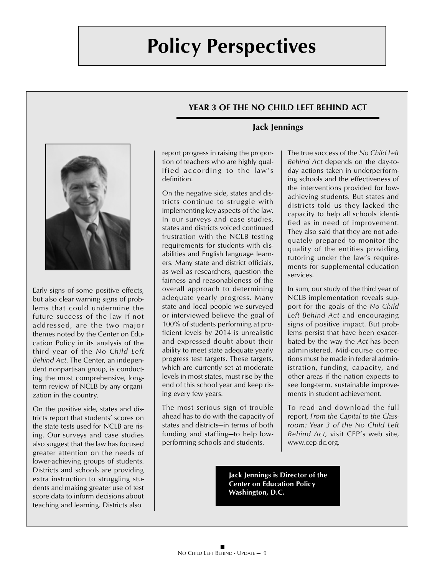## **YEAR 3 OF THE NO CHILD LEFT BEHIND ACT**



Early signs of some positive effects, but also clear warning signs of problems that could undermine the future success of the law if not addressed, are the two major themes noted by the Center on Education Policy in its analysis of the third year of the *No Child Left Behind Act*. The Center, an independent nonpartisan group, is conducting the most comprehensive, longterm review of NCLB by any organization in the country.

On the positive side, states and districts report that students' scores on the state tests used for NCLB are rising. Our surveys and case studies also suggest that the law has focused greater attention on the needs of lower-achieving groups of students. Districts and schools are providing extra instruction to struggling students and making greater use of test score data to inform decisions about teaching and learning. Districts also

## **Jack Jennings**

report progress in raising the proportion of teachers who are highly qualified according to the law's definition.

On the negative side, states and districts continue to struggle with implementing key aspects of the law. In our surveys and case studies, states and districts voiced continued frustration with the NCLB testing requirements for students with disabilities and English language learners. Many state and district officials, as well as researchers, question the fairness and reasonableness of the overall approach to determining adequate yearly progress. Many state and local people we surveyed or interviewed believe the goal of 100% of students performing at proficient levels by 2014 is unrealistic and expressed doubt about their ability to meet state adequate yearly progress test targets. These targets, which are currently set at moderate levels in most states, must rise by the end of this school year and keep rising every few years.

The most serious sign of trouble ahead has to do with the capacity of states and districts—in terms of both funding and staffing—to help lowperforming schools and students.

The true success of the *No Child Left Behind Act* depends on the day-today actions taken in underperforming schools and the effectiveness of the interventions provided for lowachieving students. But states and districts told us they lacked the capacity to help all schools identified as in need of improvement. They also said that they are not adequately prepared to monitor the quality of the entities providing tutoring under the law's requirements for supplemental education services.

In sum, our study of the third year of NCLB implementation reveals support for the goals of the *No Child Left Behind Act* and encouraging signs of positive impact. But problems persist that have been exacerbated by the way the *Act* has been administered. Mid-course corrections must be made in federal administration, funding, capacity, and other areas if the nation expects to see long-term, sustainable improvements in student achievement.

To read and download the full report, *From the Capital to the Classroom: Year 3 of the No Child Left Behind Act,* visit CEP's web site, www.cep-dc.org.

**Jack Jennings is Director of the Center on Education Policy Washington, D.C.**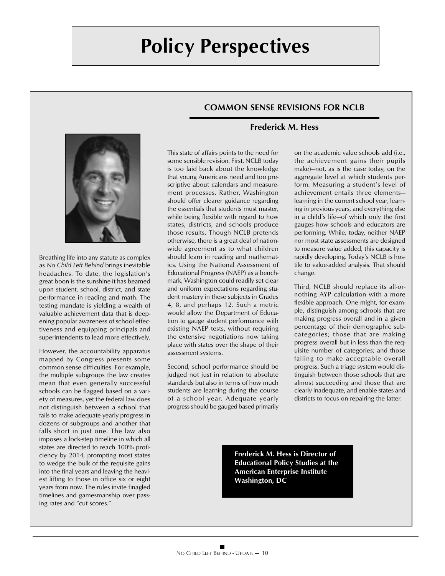## **COMMON SENSE REVISIONS FOR NCLB**



Breathing life into any statute as complex as *No Child Left Behind* brings inevitable headaches. To date, the legislation's great boon is the sunshine it has beamed upon student, school, district, and state performance in reading and math. The testing mandate is yielding a wealth of valuable achievement data that is deepening popular awareness of school effectiveness and equipping principals and superintendents to lead more effectively.

However, the accountability apparatus mapped by Congress presents some common sense difficulties. For example, the multiple subgroups the law creates mean that even generally successful schools can be flagged based on a variety of measures, yet the federal law does not distinguish between a school that fails to make adequate yearly progress in dozens of subgroups and another that falls short in just one. The law also imposes a lock-step timeline in which all states are directed to reach 100% proficiency by 2014, prompting most states to wedge the bulk of the requisite gains into the final years and leaving the heaviest lifting to those in office six or eight years from now. The rules invite finagled timelines and gamesmanship over passing rates and "cut scores."

This state of affairs points to the need for some sensible revision. First, NCLB today is too laid back about the knowledge that young Americans need and too prescriptive about calendars and measurement processes. Rather, Washington should offer clearer guidance regarding the essentials that students must master, while being flexible with regard to how states, districts, and schools produce those results. Though NCLB pretends otherwise, there is a great deal of nationwide agreement as to what children should learn in reading and mathematics. Using the National Assessment of Educational Progress (NAEP) as a benchmark, Washington could readily set clear and uniform expectations regarding student mastery in these subjects in Grades 4, 8, and perhaps 12. Such a metric would allow the Department of Education to gauge student performance with existing NAEP tests, without requiring the extensive negotiations now taking place with states over the shape of their assessment systems.

Second, school performance should be judged not just in relation to absolute standards but also in terms of how much students are learning during the course of a school year. Adequate yearly progress should be gauged based primarily

## **Frederick M. Hess**

on the academic value schools add (i.e., the achievement gains their pupils make)—not, as is the case today, on the aggregate level at which students perform. Measuring a student's level of achievement entails three elements learning in the current school year, learning in previous years, and everything else in a child's life—of which only the first gauges how schools and educators are performing. While, today, neither NAEP nor most state assessments are designed to measure value added, this capacity is rapidly developing. Today's NCLB is hostile to value-added analysis. That should change.

Third, NCLB should replace its all-ornothing AYP calculation with a more flexible approach. One might, for example, distinguish among schools that are making progress overall and in a given percentage of their demographic subcategories; those that are making progress overall but in less than the requisite number of categories; and those failing to make acceptable overall progress. Such a triage system would distinguish between those schools that are almost succeeding and those that are clearly inadequate, and enable states and districts to focus on repairing the latter.

**Frederick M. Hess is Director of Educational Policy Studies at the American Enterprise Institute Washington, DC**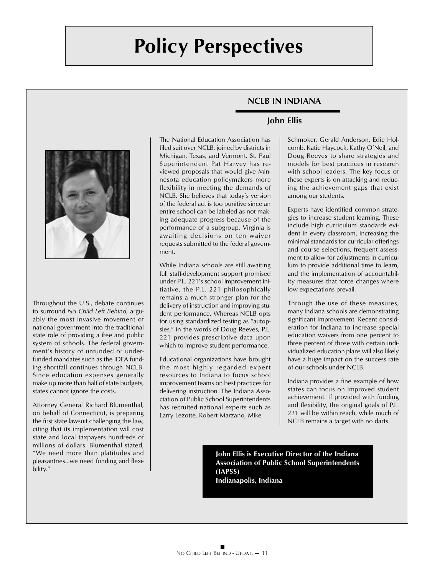## **NCLB IN INDIANA**



Throughout the U.S., debate continues to surround *No Child Left Behind*, arguably the most invasive movement of national government into the traditional state role of providing a free and public system of schools. The federal government's history of unfunded or underfunded mandates such as the IDEA funding shortfall continues through NCLB. Since education expenses generally make up more than half of state budgets, states cannot ignore the costs.

Attorney General Richard Blumenthal, on behalf of Connecticut, is preparing the first state lawsuit challenging this law, citing that its implementation will cost state and local taxpayers hundreds of millions of dollars. Blumenthal stated, "We need more than platitudes and pleasantries…we need funding and flexibility."

The National Education Association has filed suit over NCLB, joined by districts in Michigan, Texas, and Vermont. St. Paul Superintendent Pat Harvey has reviewed proposals that would give Minnesota education policymakers more flexibility in meeting the demands of NCLB. She believes that today's version of the federal act is too punitive since an entire school can be labeled as not making adequate progress because of the performance of a subgroup. Virginia is awaiting decisions on ten waiver requests submitted to the federal government.

While Indiana schools are still awaiting full staff-development support promised under P.L. 221's school improvement initiative, the P.L. 221 philosophically remains a much stronger plan for the delivery of instruction and improving student performance. Whereas NCLB opts for using standardized testing as "autopsies," in the words of Doug Reeves, P.L. 221 provides prescriptive data upon which to improve student performance.

Educational organizations have brought the most highly regarded expert resources to Indiana to focus school improvement teams on best practices for delivering instruction. The Indiana Association of Public School Superintendents has recruited national experts such as Larry Lezotte, Robert Marzano, Mike

## **John Ellis**

Schmoker, Gerald Anderson, Edie Holcomb, Katie Haycock, Kathy O'Neil, and Doug Reeves to share strategies and models for best practices in research with school leaders. The key focus of these experts is on attacking and reducing the achievement gaps that exist among our students.

Experts have identified common strategies to increase student learning. These include high curriculum standards evident in every classroom, increasing the minimal standards for curricular offerings and course selections, frequent assessment to allow for adjustments in curriculum to provide additional time to learn, and the implementation of accountability measures that force changes where low expectations prevail.

Through the use of these measures, many Indiana schools are demonstrating significant improvement. Recent consideration for Indiana to increase special education waivers from one percent to three percent of those with certain individualized education plans will also likely have a huge impact on the success rate of our schools under NCLB.

Indiana provides a fine example of how states can focus on improved student achievement. If provided with funding and flexibility, the original goals of P.L. 221 will be within reach, while much of NCLB remains a target with no darts.

**John Ellis is Executive Director of the Indiana Association of Public School Superintendents (IAPSS) Indianapolis, Indiana**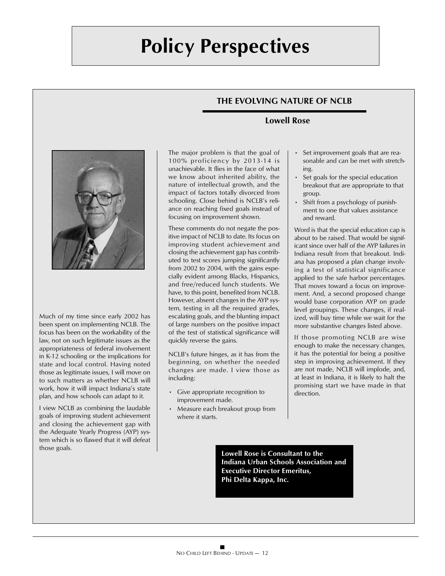## **THE EVOLVING NATURE OF NCLB**

### **Lowell Rose**



Much of my time since early 2002 has been spent on implementing NCLB. The focus has been on the workability of the law, not on such legitimate issues as the appropriateness of federal involvement in K-12 schooling or the implications for state and local control. Having noted those as legitimate issues, I will move on to such matters as whether NCLB will work, how it will impact Indiana's state plan, and how schools can adapt to it.

I view NCLB as combining the laudable goals of improving student achievement and closing the achievement gap with the Adequate Yearly Progress (AYP) system which is so flawed that it will defeat those goals.

The major problem is that the goal of 100% proficiency by 2013-14 is unachievable. It flies in the face of what we know about inherited ability, the nature of intellectual growth, and the impact of factors totally divorced from schooling. Close behind is NCLB's reliance on reaching fixed goals instead of focusing on improvement shown.

These comments do not negate the positive impact of NCLB to date. Its focus on improving student achievement and closing the achievement gap has contributed to test scores jumping significantly from 2002 to 2004, with the gains especially evident among Blacks, Hispanics, and free/reduced lunch students. We have, to this point, benefited from NCLB. However, absent changes in the AYP system, testing in all the required grades, escalating goals, and the blunting impact of large numbers on the positive impact of the test of statistical significance will quickly reverse the gains.

NCLB's future hinges, as it has from the beginning, on whether the needed changes are made. I view those as including:

- Give appropriate recognition to improvement made.
- Measure each breakout group from where it starts.
- Set improvement goals that are reasonable and can be met with stretching.
- Set goals for the special education breakout that are appropriate to that group.
- Shift from a psychology of punishment to one that values assistance and reward.

Word is that the special education cap is about to be raised. That would be significant since over half of the AYP failures in Indiana result from that breakout. Indiana has proposed a plan change involving a test of statistical significance applied to the safe harbor percentages. That moves toward a focus on improvement. And, a second proposed change would base corporation AYP on grade level groupings. These changes, if realized, will buy time while we wait for the more substantive changes listed above.

If those promoting NCLB are wise enough to make the necessary changes, it has the potential for being a positive step in improving achievement. If they are not made, NCLB will implode, and, at least in Indiana, it is likely to halt the promising start we have made in that direction.

**Lowell Rose is Consultant to the Indiana Urban Schools Association and Executive Director Emeritus, Phi Delta Kappa, Inc.**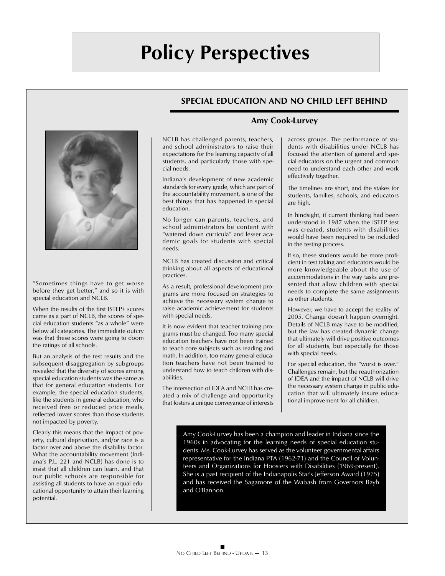## **SPECIAL EDUCATION AND NO CHILD LEFT BEHIND**



"Sometimes things have to get worse before they get better," and so it is with special education and NCLB.

When the results of the first ISTEP+ scores came as a part of NCLB, the scores of special education students "as a whole" were below all categories. The immediate outcry was that these scores were going to doom the ratings of all schools.

But an analysis of the test results and the subsequent disaggregation by subgroups revealed that the diversity of scores among special education students was the same as that for general education students. For example, the special education students, like the students in general education, who received free or reduced price meals, reflected lower scores than those students not impacted by poverty.

Clearly this means that the impact of poverty, cultural deprivation, and/or race is a factor over and above the disability factor. What the accountability movement (Indiana's P.L. 221 and NCLB) has done is to insist that all children can learn, and that our public schools are responsible for assisting all students to have an equal educational opportunity to attain their learning potential.

NCLB has challenged parents, teachers, and school administrators to raise their expectations for the learning capacity of all students, and particularly those with special needs.

Indiana's development of new academic standards for every grade, which are part of the accountability movement, is one of the best things that has happened in special education.

No longer can parents, teachers, and school administrators be content with "watered down curricula" and lesser academic goals for students with special needs.

NCLB has created discussion and critical thinking about all aspects of educational practices.

As a result, professional development programs are more focused on strategies to achieve the necessary system change to raise academic achievement for students with special needs.

It is now evident that teacher training programs must be changed. Too many special education teachers have not been trained to teach core subjects such as reading and math. In addition, too many general education teachers have not been trained to understand how to teach children with disabilities.

The intersection of IDEA and NCLB has created a mix of challenge and opportunity that fosters a unique conveyance of interests

## **Amy Cook-Lurvey**

across groups. The performance of students with disabilities under NCLB has focused the attention of general and special educators on the urgent and common need to understand each other and work effectively together.

The timelines are short, and the stakes for students, families, schools, and educators are high.

In hindsight, if current thinking had been understood in 1987 when the ISTEP test was created, students with disabilities would have been required to be included in the testing process.

If so, these students would be more proficient in test taking and educators would be more knowledgeable about the use of accommodations in the way tasks are presented that allow children with special needs to complete the same assignments as other students.

However, we have to accept the reality of 2005. Change doesn't happen overnight. Details of NCLB may have to be modified, but the law has created dynamic change that ultimately will drive positive outcomes for all students, but especially for those with special needs.

For special education, the "worst is over." Challenges remain, but the reauthorization of IDEA and the impact of NCLB will drive the necessary system change in public education that will ultimately insure educational improvement for all children.

**has served as the volunteer governmental affairs representative and Organiza-**Amy Cook-Lurvey has been a champion and leader in Indiana since the **the** 1960s in advocating for the learning needs of special education students. Ms. Cook-Lurvey has served as the volunteer governmental affairs **the San** representative for the Indiana PTA (1962-71) and the Council of Volunteers and Organizations for Hoosiers with Disabilities (1969-present). She is a past recipient of the Indianapolis Star's Jefferson Award (1975) and has received the Sagamore of the Wabash from Governors Bayh and O'Bannon.

**Amy Cook-Lurvey has been a champion and leader in Indiana since the 1960s in**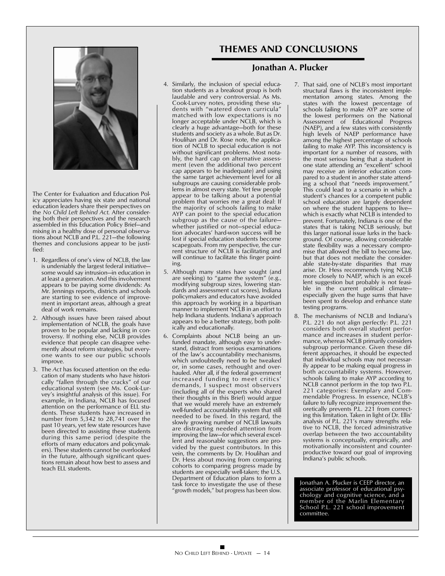## **THEMES AND CONCLUSIONS**

## **Jonathan A. Plucker**



The Center for Evaluation and Education Policy appreciates having six state and national education leaders share their perspectives on the *No Child Left Behind Act.* After considering both their perspectives and the research assembled in this Education Policy Brief—and mixing in a healthy dose of personal observations about NCLB and P.L. 221—the following themes and conclusions appear to be justified:

- 1. Regardless of one's view of NCLB, the law is undeniably the largest federal initiative some would say intrusion—in education in at least a generation. And this involvement appears to be paying some dividends: As Mr. Jennings reports, districts and schools are starting to see evidence of improvement in important areas, although a great deal of work remains.
- 2. Although issues have been raised about implementation of NCLB, the goals have proven to be popular and lacking in controversy. If nothing else, NCLB provides evidence that people can disagree vehemently about reform strategies, but everyone wants to see our public schools improve.
- 3. The *Act* has focused attention on the education of many students who have historically "fallen through the cracks" of our educational system (see Ms. Cook-Lurvey's insightful analysis of this issue). For example, in Indiana, NCLB has focused attention on the performance of ELL students. These students have increased in number from 5,342 to 28,741 over the past 10 years, yet few state resources have been directed to assisting these students during this same period (despite the efforts of many educators and policymakers). These students cannot be overlooked in the future, although significant questions remain about how best to assess and teach ELL students.
- 4. Similarly, the inclusion of special education students as a breakout group is both laudable and very controversial. As Ms. Cook-Lurvey notes, providing these students with "watered down curricula" matched with low expectations is no longer acceptable under NCLB, which is clearly a huge advantage—both for these students and society as a whole. But as Dr. Houlihan and Dr. Rose note, the application of NCLB to special education is not without significant problems. Most notably, the hard cap on alternative assessment (even the additional two percent cap appears to be inadequate) and using the same target achievement level for all subgroups are causing considerable problems in almost every state. Yet few people appear to be talking about a potential problem that worries me a great deal: If the majority of schools failing to make AYP can point to the special education subgroup as the cause of the failure whether justified or not—special education advocates' hard-won success will be lost if special education students become scapegoats. From my perspective, the current structure of NCLB is facilitating and will continue to facilitate this finger pointing.
- 5. Although many states have sought (and are seeking) to "game the system" (e.g., modifying subgroup sizes, lowering standards and assessment cut scores), Indiana policymakers and educators have avoided this approach by working in a bipartisan manner to implement NCLB in an effort to help Indiana students. Indiana's approach appears to be a better strategy, both politically and educationally.
- 6. Complaints about NCLB being an unfunded mandate, although easy to understand, distract from serious examinations of the law's accountability mechanisms, which undoubtedly need to be tweaked or, in some cases, rethought and overhauled. After all, if the federal government increased funding to meet critics' demands, I suspect most observers (including all of the experts who shared their thoughts in this Brief) would argue that we would merely have an extremely well-funded accountability system that still needed to be fixed. In this regard, the slowly growing number of NCLB lawsuits are distracting needed attention from improving the law—for which several excellent and reasonable suggestions are provided by the guest contributors. In this vein, the comments by Dr. Houlihan and Dr. Hess about moving from comparing cohorts to comparing progress made by students are especially well-taken; the U.S. Department of Education plans to form a task force to investigate the use of these "growth models," but progress has been slow.
- 7. That said, one of NCLB's most important structural flaws is the inconsistent implementation among states. Among the states with the lowest percentage of schools failing to make AYP are some of the lowest performers on the National Assessment of Educational Progress (NAEP), and a few states with consistently high levels of NAEP performance have among the highest percentage of schools failing to make AYP. This inconsistency is important for a number of reasons, with the most serious being that a student in one state attending an "excellent" school may receive an inferior education compared to a student in another state attending a school that "needs improvement." This could lead to a scenario in which a student's chances for a competent public school education are largely dependent on where the student happens to live which is exactly what NCLB is intended to prevent. Fortunately, Indiana is one of the states that is taking NCLB seriously, but this larger national issue lurks in the background. Of course, allowing considerable state flexibility was a necessary compromise that allowed the bill to become law, but that does not mediate the considerable state-by-state disparities that may arise. Dr. Hess recommends tying NCLB more closely to NAEP, which is an excellent suggestion but probably is not feasible in the current political climate especially given the huge sums that have been spent to develop and enhance state testing programs.
- 8. The mechanisms of NCLB and Indiana's P.L. 221 do not align perfectly: P.L. 221 considers both overall student performance and increases in student performance, whereas NCLB primarily considers subgroup performance. Given these different approaches, it should be expected that individual schools may not necessarily appear to be making equal progress in both accountability systems. However, schools failing to make AYP according to NCLB cannot perform in the top two P.L. 221 categories: Exemplary and Commendable Progress. In essence, NCLB's failure to fully recognize improvement theoretically prevents P.L. 221 from correcting this limitation. Taken in light of Dr. Ellis' analysis of P.L. 221's many strengths relative to NCLB, the forced administrative overlap between the two accountability systems is conceptually, empirically, and motivationally inconsistent and counterproductive toward our goal of improving Indiana's public schools.

Jonathan A. Plucker is CEEP director, an associate professor of educational psychology and cognitive science, and a member of the Marlin Elementary School P.L. 221 school improvement committee.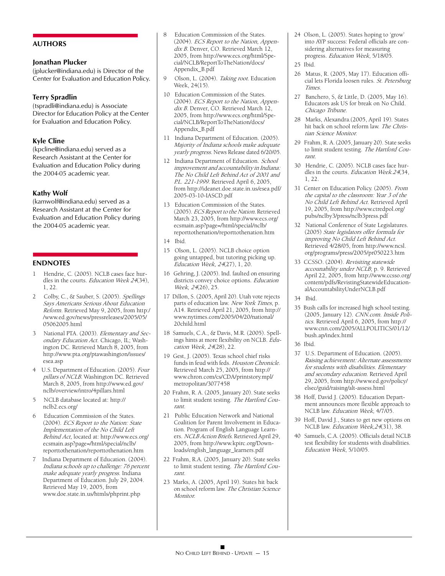#### **AUTHORS**

#### **Jonathan Plucker**

(jplucker@indiana.edu) is Director of the Center for Evaluation and Education Policy.

#### **Terry Spradlin**

(tspradli@indiana.edu) is Associate Director for Education Policy at the Center for Evaluation and Education Policy.

#### **Kyle Cline**

(kpcline@indiana.edu) served as a Research Assistant at the Center for Evaluation and Education Policy during the 2004-05 academic year.

#### **Kathy Wolf**

(kamwolf@indiana.edu) served as a Research Assistant at the Center for Evaluation and Education Policy during the 2004-05 academic year.

#### **ENDNOTES**

- 1 Hendrie, C. (2005). NCLB cases face hurdles in the courts. Education Week 24(34), 1, 22.
- 2 Colby, C., & Sauber, S. (2005). Spellings Says Americans Serious About Education Reform. Retrieved May 9, 2005, from http:/ /www.ed.gov/news/pressreleases/2005/05/ 05062005.html
- 3 National PTA. (2003). Elementary and Secondary Education Act. Chicago, IL; Washington DC. Retrieved March 8, 2005, from http://www.pta.org/ptawashington/issues/ esea.asp
- 4 U.S. Department of Education. (2005). Four pillars of NCLB. Washington DC. Retrieved March 8, 2005, from http://www.ed.gov/ nclb/overview/intro/4pillars.html
- 5 NCLB database located at: http:// nclb2.ecs.org/
- 6 Education Commission of the States. (2004). ECS Report to the Nation: State Implementation of the No Child Left Behind Act, located at: http://www.ecs.org/ ecsmain.asp?page=/html/special/nclb/ reporttothenation/reporttothenation.htm
- Indiana Department of Education. (2004). Indiana schools up to challenge: 76 percent make adequate yearly progress. Indiana Department of Education. July 29, 2004. Retrieved May 19, 2005, from www.doe.state.in.us/htmls/phprint.php
- 8 Education Commission of the States. (2004). ECS Report to the Nation, Appendix B. Denver, CO. Retrieved March 12, 2005, from http://www.ecs.org/html/Special/NCLB/ReportToTheNation/docs/ Appendix\_B.pdf
- 9 Olson, L. (2004). Taking root. Education Week, 24(15).
- 10 Education Commission of the States. (2004). ECS Report to the Nation, Appendix B. Denver, CO. Retrieved March 12, 2005, from http://www.ecs.org/html/Special/NCLB/ReportToTheNation/docs/ Appendix\_B.pdf
- 11 Indiana Department of Education. (2005). Majority of Indiana schools make adequate yearly progress. News Release dated 6/20/05.
- 12 Indiana Department of Education. School improvement and accountability in Indiana: The No Child Left Behind Act of 2001 and P.L. 221-1999. Retrieved April 6, 2005, from http://ideanet.doe.state.in.us/esea.pdf/ 2005-03-10-IASCD.pdf
- 13 Education Commission of the States. (2005). ECS Report to the Nation. Retrieved March 23, 2005, from http://www.ecs.org/ ecsmain.asp?page=/html/special/nclb/ reporttothenation/reporttothenation.htm
- 14 Ibid.
- 15 Olson, L. (2005). NCLB choice option going untapped, but tutoring picking up. Education Week, 24(27), 1, 20.
- 16 Gehring, J. (2005). Ind. faulted on ensuring districts convey choice options. Education Week, 24(26), 25.
- 17 Dillon, S. (2005, April 20). Utah vote rejects parts of education law. New York Times, p. A14. Retrieved April 21, 2005, from http:// www.nytimes.com/2005/04/20/national/ 20child.html
- 18 Samuels, C.A., & Davis, M.R. (2005). Spellings hints at more flexibility on NCLB. Education Week, 24(28), 22.
- 19 Gest, J. (2005). Texas school chief risks funds in feud with feds. Houston Chronicle. Retrieved March 25, 2005, from http:// www.chron.com/cs/CDA/printstory.mpl/ metropolitan/3077458
- 20 Frahm, R. A. (2005, January 20). State seeks to limit student testing. The Hartford Courant.
- 21 Public Education Network and National Coalition for Parent Involvement in Education. Program of English Language Learners. NCLB Action Briefs. Retrieved April 29, 2005, from http://www.kpirc.org/Downloads/english\_language\_learners.pdf
- 22 Frahm, R.A. (2005, January 20). State seeks to limit student testing. The Hartford Courant.
- 23 Marks, A. (2005, April 19). States hit back on school reform law. The Christian Science **Monitor**

24 Olson, L. (2005). States hoping to 'grow' into AYP success: Federal officials are considering alternatives for measuring progress. Education Week, 5/18/05.

- 26 Matus, R. (2005, May 17). Education official lets Florida loosen rules. St. Petersburg Times.
- 27 Banchero, S, & Little, D. (2005, May 16). Educators ask US for break on No Child. Chicago Tribune.
- 28 Marks, Alexandra.(2005, April 19). States hit back on school reform law. The Christian Science Monitor.
- 29 Frahm, R. A. (2005, January 20). State seeks to limit student testing. The Hartford Courant.
- 30 Hendrie, C. (2005). NCLB cases face hurdles in the courts. Education Week.24(34, 1, 22.
- 31 Center on Education Policy. (2005). From the capital to the classroom: Year 3 of the No Child Left Behind Act. Retrieved April 19, 2005, from http://www.ctredpol.org/ pubs/nclby3/press/nclb3press.pdf
- 32 National Conference of State Legislatures. (2005) State legislators offer formula for improving No Child Left Behind Act. Retrieved 4/28/05, from http://www.ncsl. org/programs/press/2005/pr050223.htm
- 33 CCSSO. (2004). Revisiting statewide accounability under NCLB; p. 9. Retrieved April 22, 2005, from http://www.ccsso.org/ content/pdfs/RevistingStatewideEducationalAccountabilityUnderNCLB.pdf

34 Ibid.

- 35 Bush calls for increased high school testing. (2005, January 12). CNN.com. Inside Politics. Retrieved April 6, 2005, from http:// www.cnn.com/2005/ALLPOLITICS/01/12/ bush.ap/index.html
- 36 Ibid.
- 37 U.S. Department of Education. (2005). Raising achievement: Alternate assessments for students with disabilities. Elementary and secondary education. Retrieved April 29, 2005, from http://www.ed.gov/policy/ elsec/guid/raising/alt-assess.html
- 38 Hoff, David J. (2005). Education Department announces more flexible approach to NCLB law. Education Week, 4/7/05.
- 39 Hoff, David J., States to get new options on NCLB law. Education Week, 24(31), 38.
- 40 Samuels, C.A. (2005). Officials detail NCLB test flexibility for students with disabilities. Education Week, 5/10/05.

<sup>25</sup> Ibid.